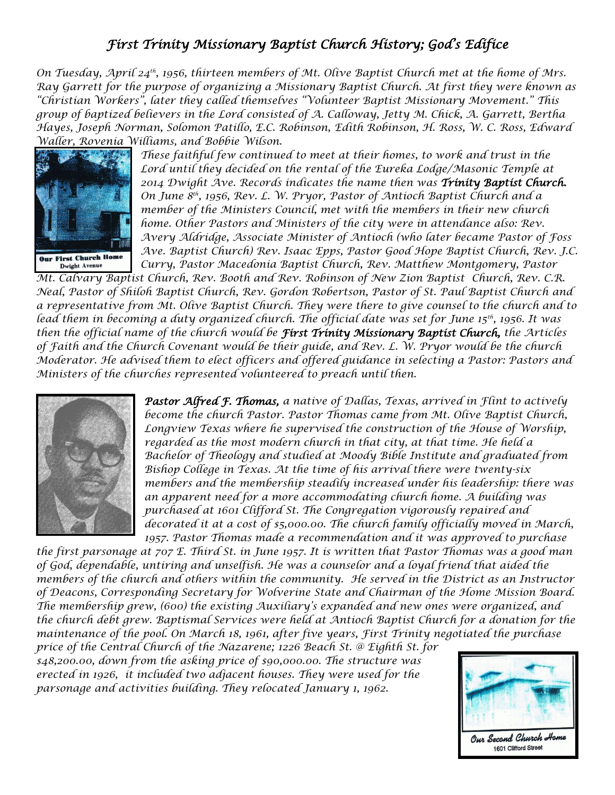## *First Trinity Missionary Baptist Church History; God's Edifice*

*On Tuesday, April 24th, 1956, thirteen members of Mt. Olive Baptist Church met at the home of Mrs. Ray Garrett for the purpose of organizing a Missionary Baptist Church. At first they were known as "Christian Workers", later they called themselves "Volunteer Baptist Missionary Movement." This group of baptized believers in the Lord consisted of A. Calloway, Jetty M. Chick, A. Garrett, Bertha Hayes, Joseph Norman, Solomon Patillo, E.C. Robinson, Edith Robinson, H. Ross, W. C. Ross, Edward Waller, Rovenia Williams, and Bobbie Wilson.* 



*These faithful few continued to meet at their homes, to work and trust in the Lord until they decided on the rental of the Eureka Lodge/Masonic Temple at 2014 Dwight Ave. Records indicates the name then was Trinity Baptist Church. On June 8th, 1956, Rev. L. W. Pryor, Pastor of Antioch Baptist Church and a member of the Ministers Council, met with the members in their new church home. Other Pastors and Ministers of the city were in attendance also: Rev. Avery Aldridge, Associate Minister of Antioch (who later became Pastor of Foss Ave. Baptist Church) Rev. Isaac Epps, Pastor Good Hope Baptist Church, Rev. J.C. Curry, Pastor Macedonia Baptist Church, Rev. Matthew Montgomery, Pastor*

*Mt. Calvary Baptist Church, Rev. Booth and Rev. Robinson of New Zion Baptist Church, Rev. C.R. Neal, Pastor of Shiloh Baptist Church, Rev. Gordon Robertson, Pastor of St. Paul Baptist Church and a representative from Mt. Olive Baptist Church. They were there to give counsel to the church and to lead them in becoming a duty organized church. The official date was set for June 15th, 1956. It was then the official name of the church would be First Trinity Missionary Baptist Church, the Articles of Faith and the Church Covenant would be their guide, and Rev. L. W. Pryor would be the church Moderator. He advised them to elect officers and offered guidance in selecting a Pastor: Pastors and Ministers of the churches represented volunteered to preach until then.*



*Pastor Alfred F. Thomas, a native of Dallas, Texas, arrived in Flint to actively become the church Pastor. Pastor Thomas came from Mt. Olive Baptist Church, Longview Texas where he supervised the construction of the House of Worship, regarded as the most modern church in that city, at that time. He held a Bachelor of Theology and studied at Moody Bible Institute and graduated from Bishop College in Texas. At the time of his arrival there were twenty-six members and the membership steadily increased under his leadership: there was an apparent need for a more accommodating church home. A building was purchased at 1601 Clifford St. The Congregation vigorously repaired and decorated it at a cost of \$5,000.00. The church family officially moved in March, 1957. Pastor Thomas made a recommendation and it was approved to purchase* 

*the first parsonage at 707 E. Third St. in June 1957. It is written that Pastor Thomas was a good man of God, dependable, untiring and unselfish. He was a counselor and a loyal friend that aided the members of the church and others within the community. He served in the District as an Instructor of Deacons, Corresponding Secretary for Wolverine State and Chairman of the Home Mission Board. The membership grew, (600) the existing Auxiliary's expanded and new ones were organized, and the church debt grew. Baptismal Services were held at Antioch Baptist Church for a donation for the maintenance of the pool. On March 18, 1961, after five years, First Trinity negotiated the purchase* 

*price of the Central Church of the Nazarene; 1226 Beach St. @ Eighth St. for \$48,200.00, down from the asking price of \$90,000.00. The structure was erected in 1926, it included two adjacent houses. They were used for the parsonage and activities building. They relocated January 1, 1962.*

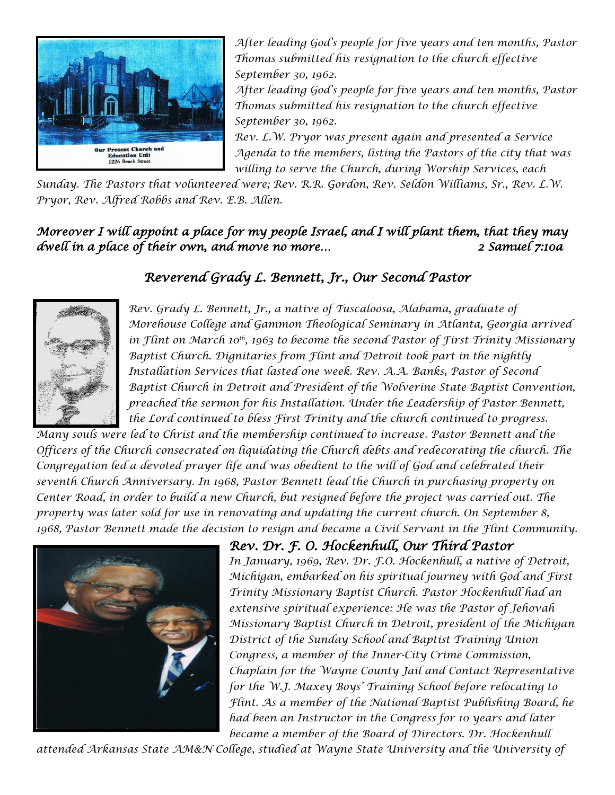

*After leading God's people for five years and ten months, Pastor Thomas submitted his resignation to the church effective September 30, 1962.*

*After leading God's people for five years and ten months, Pastor Thomas submitted his resignation to the church effective September 30, 1962.*

*Rev. L.W. Pryor was present again and presented a Service Agenda to the members, listing the Pastors of the city that was willing to serve the Church, during Worship Services, each* 

*Sunday. The Pastors that volunteered were; Rev. R.R. Gordon, Rev. Seldon Williams, Sr., Rev. L.W. Pryor, Rev. Alfred Robbs and Rev. E.B. Allen.*

## *Moreover I will appoint a place for my people Israel, and I will plant them, that they may dwell in a place of their own, and move no more… 2 Samuel 7:10a*

## *Reverend Grady L. Bennett, Jr., Our Second Pastor*



*Rev. Grady L. Bennett, Jr., a native of Tuscaloosa, Alabama, graduate of Morehouse College and Gammon Theological Seminary in Atlanta, Georgia arrived in Flint on March 10th, 1963 to become the second Pastor of First Trinity Missionary Baptist Church. Dignitaries from Flint and Detroit took part in the nightly Installation Services that lasted one week. Rev. A.A. Banks, Pastor of Second Baptist Church in Detroit and President of the Wolverine State Baptist Convention, preached the sermon for his Installation. Under the Leadership of Pastor Bennett, the Lord continued to bless First Trinity and the church continued to progress.*

*Many souls were led to Christ and the membership continued to increase. Pastor Bennett and the Officers of the Church consecrated on liquidating the Church debts and redecorating the church. The Congregation led a devoted prayer life and was obedient to the will of God and celebrated their seventh Church Anniversary. In 1968, Pastor Bennett lead the Church in purchasing property on Center Road, in order to build a new Church, but resigned before the project was carried out. The property was later sold for use in renovating and updating the current church. On September 8, 1968, Pastor Bennett made the decision to resign and became a Civil Servant in the Flint Community.*



*Rev. Dr. F. O. Hockenhull, Our Third Pastor In January, 1969, Rev. Dr. F.O. Hockenhull, a native of Detroit, Michigan, embarked on his spiritual journey with God and First Trinity Missionary Baptist Church. Pastor Hockenhull had an extensive spiritual experience: He was the Pastor of Jehovah Missionary Baptist Church in Detroit, president of the Michigan District of the Sunday School and Baptist Training Union Congress, a member of the Inner-City Crime Commission, Chaplain for the Wayne County Jail and Contact Representative for the W.J. Maxey Boys' Training School before relocating to Flint. As a member of the National Baptist Publishing Board, he had been an Instructor in the Congress for 10 years and later became a member of the Board of Directors. Dr. Hockenhull* 

*attended Arkansas State AM&N College, studied at Wayne State University and the University of*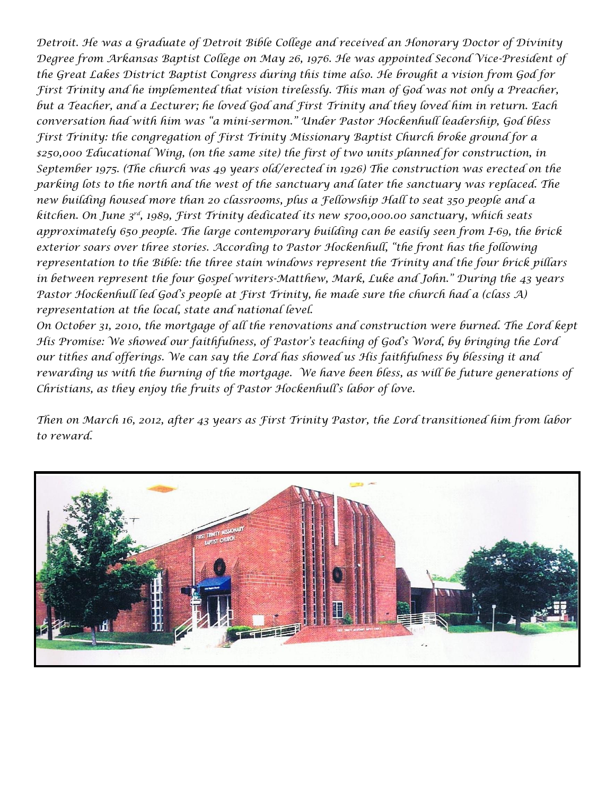*Detroit. He was a Graduate of Detroit Bible College and received an Honorary Doctor of Divinity Degree from Arkansas Baptist College on May 26, 1976. He was appointed Second Vice-President of the Great Lakes District Baptist Congress during this time also. He brought a vision from God for First Trinity and he implemented that vision tirelessly. This man of God was not only a Preacher, but a Teacher, and a Lecturer; he loved God and First Trinity and they loved him in return. Each conversation had with him was "a mini-sermon." Under Pastor Hockenhull leadership, God bless First Trinity: the congregation of First Trinity Missionary Baptist Church broke ground for a \$250,000 Educational Wing, (on the same site) the first of two units planned for construction, in September 1975. (The church was 49 years old/erected in 1926) The construction was erected on the parking lots to the north and the west of the sanctuary and later the sanctuary was replaced. The new building housed more than 20 classrooms, plus a Fellowship Hall to seat 350 people and a kitchen. On June 3rd, 1989, First Trinity dedicated its new \$700,000.00 sanctuary, which seats approximately 650 people. The large contemporary building can be easily seen from I-69, the brick exterior soars over three stories. According to Pastor Hockenhull, "the front has the following representation to the Bible: the three stain windows represent the Trinity and the four brick pillars in between represent the four Gospel writers-Matthew, Mark, Luke and John." During the 43 years Pastor Hockenhull led God's people at First Trinity, he made sure the church had a (class A) representation at the local, state and national level.*

*On October 31, 2010, the mortgage of all the renovations and construction were burned. The Lord kept His Promise: We showed our faithfulness, of Pastor's teaching of God's Word, by bringing the Lord our tithes and offerings. We can say the Lord has showed us His faithfulness by blessing it and rewarding us with the burning of the mortgage. We have been bless, as will be future generations of Christians, as they enjoy the fruits of Pastor Hockenhull's labor of love.*

*Then on March 16, 2012, after 43 years as First Trinity Pastor, the Lord transitioned him from labor to reward.*